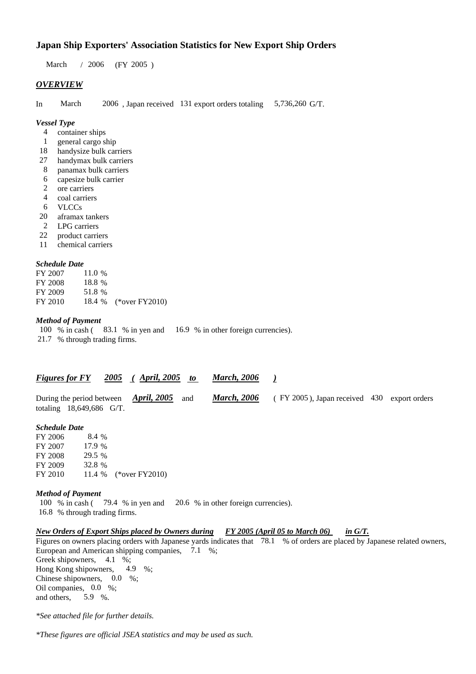# **Japan Ship Exporters' Association Statistics for New Export Ship Orders**

March / 2006 (FY 2005)

## *OVERVIEW*

In March 2006 , Japan received 131 export orders totaling 5,736,260 G/T.

#### *Vessel Type*

- 4 container ships
- 1 general cargo ship
- 18 handysize bulk carriers
- 27 handymax bulk carriers
- 8 panamax bulk carriers
- 6 capesize bulk carrier
- 2 ore carriers
- 4 coal carriers
- 6 VLCCs
- 20 aframax tankers
- 2 LPG carriers
- 22 product carriers
- 11 chemical carriers

## *Schedule Date*

| FY 2007 | 11.0 % |                       |
|---------|--------|-----------------------|
| FY 2008 | 18.8 % |                       |
| FY 2009 | 51.8 % |                       |
| FY 2010 |        | 18.4 % (*over FY2010) |

## *Method of Payment*

100 % in cash (83.1 % in yen and 16.9 % in other foreign currencies). 21.7 % through trading firms.

| <b>Figures for FY</b> | 2005 | April, $2005$ | <b>March, 2006</b> |  |
|-----------------------|------|---------------|--------------------|--|
|                       |      |               |                    |  |

During the period between *April, 2005* and *March, 2006* ( FY 2005 ), Japan received 430 export orders totaling 18,649,686 G/T.

## *Schedule Date*

| FY 2006 | 8.4 %  |                       |
|---------|--------|-----------------------|
| FY 2007 | 17.9 % |                       |
| FY 2008 | 29.5 % |                       |
| FY 2009 | 32.8%  |                       |
| FY 2010 |        | 11.4 % (*over FY2010) |

#### *Method of Payment*

100 % in cash ( 79.4 % in yen and 20.6 % in other foreign currencies). 16.8 % through trading firms.

# *New Orders of Export Ships placed by Owners during FY 2005 (April 05 to March 06) in G/T.*

Figures on owners placing orders with Japanese yards indicates that 78.1 % of orders are placed by Japanese related owners, European and American shipping companies, 7.1 %; Greek shipowners, 4.1 %; Hong Kong shipowners, 4.9 %; Chinese shipowners, 0.0 %; Oil companies, 0.0 %; and others, 5.9 %.

*\*See attached file for further details.*

*\*These figures are official JSEA statistics and may be used as such.*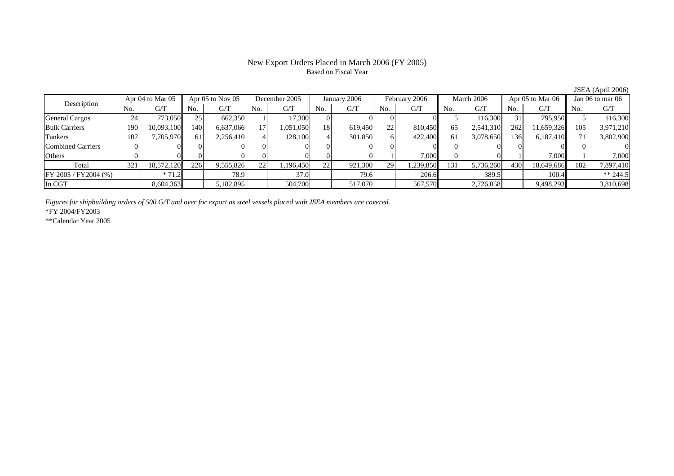## New Export Orders Placed in March 2006 (FY 2005) Based on Fiscal Year

Description Apr 04 to Mar 05 Apr 05 to Nov 05 December 2005 January 2006 February 2006 March 2006 Apr 05 to Mar 06 Jan 06 to mar 06<br>No. 1 G/T No. 1 G/T No. 1 G/T No. 1 G/T No. 1 G/T No. 1 G/T No. 1 G/T No. 1 G/T No. 1 G/T  $No.$   $G/T$ T || No. | G/T || No. | G/T || No. | G/T || No. | G/T || G/T || No. | G/T || No. | G/T || No. | G/T General Cargos | 24 773,050|| 25| 662,350| 1| 17,300| 0| 0| 0| 0| 5| 116,300| 31| 795,950|| 5| 116,300 Bulk Carriers 1900| 10,093,100|| 140| 6,637,066| 17| 1,051,050| 18| 619,450| 22| 810,450| 65| 2,541,310| 262| 11,659,326|| 105| 3,971,210 Tankers 1077| 7,705,970|| 61| 2,256,410| 4| 128,100| 4| 301,850| 6| 422,400| 61| 3,078,650| 136| 6,187,410|| 71| 3,802,900 Combined Carriers 1 0 0 0 0 0 0 0 0 0 0 0 0 0 0 0 0 **Others** s and  $\vert 0$ 0 이 이 이 이 이 이 이 이 1 7,000 이 이 1 7,000 이 1 7,000 Total 321 18,572,120 226 9,555,826 22 1,196,450 22 921,300 29 1,239,850 131 5,736,260 430 18,649,686 182 7,897,410 FY 2005 / FY2004 (%) \* 71.2 78.9 78.9 37.0 79.6 206.6 389.5 100.4 \*\* 244.5 In CGT8,604,363 5,182,895 504,700 517,070 567,570 2,726,058 9,498,293 3,810,698

*Figures for shipbuilding orders of 500 G/T and over for export as steel vessels placed with JSEA members are covered.*

\*FY 2004/FY2003

\*\*Calendar Year 2005

JSEA (April 2006)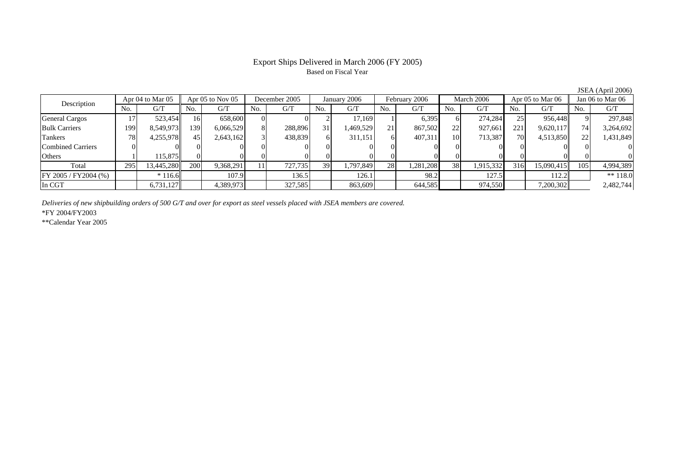## Export Ships Delivered in March 2006 (FY 2005) Based on Fiscal Year

Description Apr 04 to Mar 05 Apr 05 to Nov 05 December 2005 January 2006 February 2006 March 2006 Apr 05 to Mar 06 Jan 06 to Mar 06<br>No. 1 G/T No. 1 G/T No. 1 G/T No. 1 G/T No. 1 G/T No. 1 G/T No. 1 G/T No. 1 G/T No. 1 G/T No.  $G/T$ T || No. | G/T || No. | G/T || No. | G/T || No. | G/T || G/T || No. | G/T || No. | G/T || No. | G/T General Cargos | 17 | 523,454|| 16| 658,600 | 0| 2| 17,169 | 1| 6,395 | 6 | 274,284 | 25 | 956,448|| 9| 297,848 Bulk Carriers 1999| 8,549,973|| 139| 6,066,529| 8| 288,896| 31| 1,469,529| 21| 867,502| 22| 927,661| 221| 9,620,117|| 74| 3,264,692 Tankers 788| 4,255,978|| 45| 2,643,162| 3| 438,839| 6| 311,151| 6| 407,311| 10| 713,387| 70| 4,513,850|| 22| 1,431,849 Combined Carriers 0 0 0 0 0 0 0 0 0 0 0 0 0 0 0 0 **Others** s and  $1$  115,875 0 0 0 0 0 0 0 0 0 0 0 0 0 0 Total 295 13,445,280 200 9,368,291 11 727,735 39 1,797,849 28 1,281,208 38 1,915,332 316 15,090,415 105 4,994,389 FY 2005 / FY2004 (%) \* 116.6 107.9 136.5 126.1 98.2 127.5 112.2 \*\* 118.0 In CGT6,731,127 4,389,973 327,585 863,609 644,585 974,550 7,200,302 2,482,744

*Deliveries of new shipbuilding orders of 500 G/T and over for export as steel vessels placed with JSEA members are covered.*

\*FY 2004/FY2003

\*\*Calendar Year 2005

JSEA (April 2006)